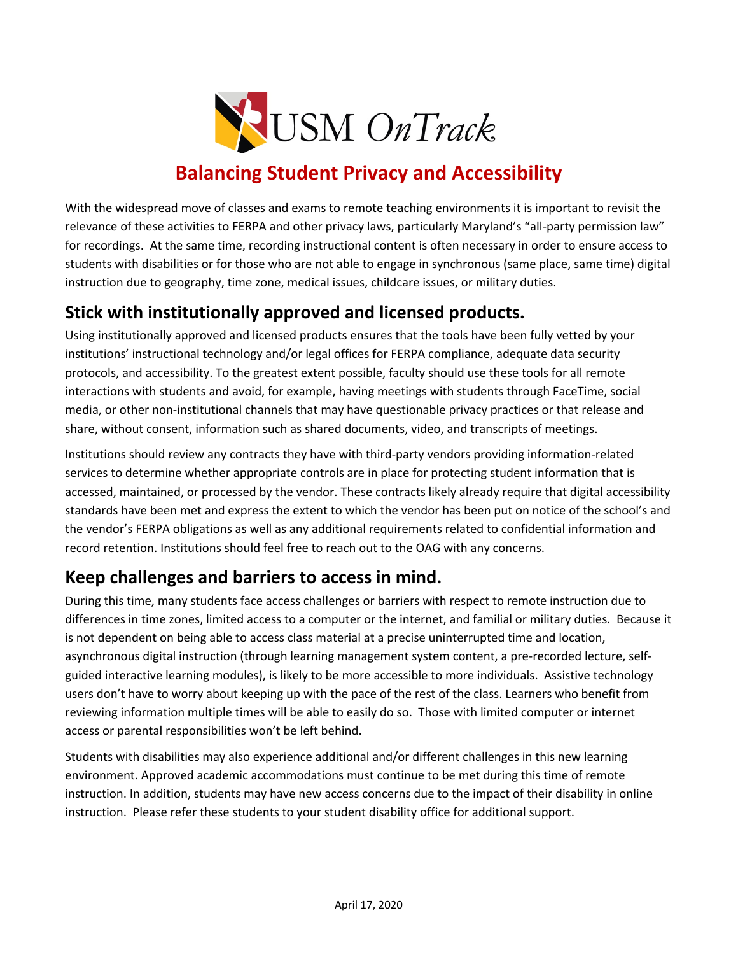

## **Balancing Student Privacy and Accessibility**

With the widespread move of classes and exams to remote teaching environments it is important to revisit the relevance of these activities to FERPA and other privacy laws, particularly Maryland's "all-party permission law" for recordings. At the same time, recording instructional content is often necessary in order to ensure access to students with disabilities or for those who are not able to engage in synchronous (same place, same time) digital instruction due to geography, time zone, medical issues, childcare issues, or military duties.

## **Stick with institutionally approved and licensed products.**

Using institutionally approved and licensed products ensures that the tools have been fully vetted by your institutions' instructional technology and/or legal offices for FERPA compliance, adequate data security protocols, and accessibility. To the greatest extent possible, faculty should use these tools for all remote interactions with students and avoid, for example, having meetings with students through FaceTime, social media, or other non-institutional channels that may have questionable privacy practices or that release and share, without consent, information such as shared documents, video, and transcripts of meetings.

Institutions should review any contracts they have with third-party vendors providing information-related services to determine whether appropriate controls are in place for protecting student information that is accessed, maintained, or processed by the vendor. These contracts likely already require that digital accessibility standards have been met and express the extent to which the vendor has been put on notice of the school's and the vendor's FERPA obligations as well as any additional requirements related to confidential information and record retention. Institutions should feel free to reach out to the OAG with any concerns.

## **Keep challenges and barriers to access in mind.**

During this time, many students face access challenges or barriers with respect to remote instruction due to differences in time zones, limited access to a computer or the internet, and familial or military duties. Because it is not dependent on being able to access class material at a precise uninterrupted time and location, asynchronous digital instruction (through learning management system content, a pre-recorded lecture, selfguided interactive learning modules), is likely to be more accessible to more individuals. Assistive technology users don't have to worry about keeping up with the pace of the rest of the class. Learners who benefit from reviewing information multiple times will be able to easily do so. Those with limited computer or internet access or parental responsibilities won't be left behind.

Students with disabilities may also experience additional and/or different challenges in this new learning environment. Approved academic accommodations must continue to be met during this time of remote instruction. In addition, students may have new access concerns due to the impact of their disability in online instruction. Please refer these students to your student disability office for additional support.